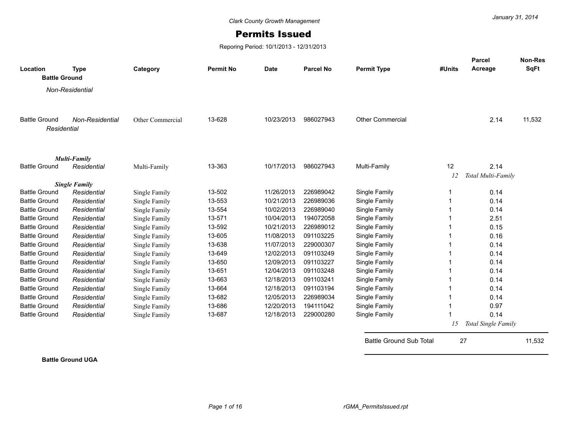## Permits Issued

Reporing Period: 10/1/2013 - 12/31/2013

| Location             | <b>Type</b>          | Category         | <b>Permit No</b> | <b>Date</b> | <b>Parcel No</b> | <b>Permit Type</b>             | #Units | <b>Parcel</b><br>Acreage | <b>Non-Res</b><br><b>SqFt</b> |
|----------------------|----------------------|------------------|------------------|-------------|------------------|--------------------------------|--------|--------------------------|-------------------------------|
| <b>Battle Ground</b> |                      |                  |                  |             |                  |                                |        |                          |                               |
|                      | Non-Residential      |                  |                  |             |                  |                                |        |                          |                               |
|                      |                      |                  |                  |             |                  |                                |        |                          |                               |
|                      |                      |                  |                  |             |                  |                                |        |                          |                               |
| <b>Battle Ground</b> | Non-Residential      | Other Commercial | 13-628           | 10/23/2013  | 986027943        | <b>Other Commercial</b>        |        | 2.14                     | 11,532                        |
| Residential          |                      |                  |                  |             |                  |                                |        |                          |                               |
|                      |                      |                  |                  |             |                  |                                |        |                          |                               |
|                      | <b>Multi-Family</b>  |                  |                  |             |                  |                                |        |                          |                               |
| <b>Battle Ground</b> | Residential          | Multi-Family     | 13-363           | 10/17/2013  | 986027943        | Multi-Family                   | 12     | 2.14                     |                               |
|                      | <b>Single Family</b> |                  |                  |             |                  |                                | 12     | Total Multi-Family       |                               |
| <b>Battle Ground</b> | Residential          | Single Family    | 13-502           | 11/26/2013  | 226989042        | Single Family                  |        | 0.14                     |                               |
| <b>Battle Ground</b> | Residential          | Single Family    | 13-553           | 10/21/2013  | 226989036        | Single Family                  |        | 0.14                     |                               |
| <b>Battle Ground</b> | Residential          | Single Family    | 13-554           | 10/02/2013  | 226989040        | Single Family                  |        | 0.14                     |                               |
| <b>Battle Ground</b> | Residential          | Single Family    | 13-571           | 10/04/2013  | 194072058        | Single Family                  |        | 2.51                     |                               |
| <b>Battle Ground</b> | Residential          | Single Family    | 13-592           | 10/21/2013  | 226989012        | Single Family                  |        | 0.15                     |                               |
| <b>Battle Ground</b> | Residential          | Single Family    | 13-605           | 11/08/2013  | 091103225        | Single Family                  |        | 0.16                     |                               |
| <b>Battle Ground</b> | Residential          | Single Family    | 13-638           | 11/07/2013  | 229000307        | Single Family                  |        | 0.14                     |                               |
| <b>Battle Ground</b> | Residential          | Single Family    | 13-649           | 12/02/2013  | 091103249        | Single Family                  |        | 0.14                     |                               |
| <b>Battle Ground</b> | Residential          | Single Family    | 13-650           | 12/09/2013  | 091103227        | Single Family                  |        | 0.14                     |                               |
| <b>Battle Ground</b> | Residential          | Single Family    | 13-651           | 12/04/2013  | 091103248        | Single Family                  |        | 0.14                     |                               |
| <b>Battle Ground</b> | Residential          | Single Family    | 13-663           | 12/18/2013  | 091103241        | Single Family                  |        | 0.14                     |                               |
| <b>Battle Ground</b> | Residential          | Single Family    | 13-664           | 12/18/2013  | 091103194        | Single Family                  |        | 0.14                     |                               |
| <b>Battle Ground</b> | Residential          | Single Family    | 13-682           | 12/05/2013  | 226989034        | Single Family                  |        | 0.14                     |                               |
| <b>Battle Ground</b> | Residential          | Single Family    | 13-686           | 12/20/2013  | 194111042        | Single Family                  |        | 0.97                     |                               |
| <b>Battle Ground</b> | Residential          | Single Family    | 13-687           | 12/18/2013  | 229000280        | Single Family                  |        | 0.14                     |                               |
|                      |                      |                  |                  |             |                  |                                | 15     | Total Single Family      |                               |
|                      |                      |                  |                  |             |                  | <b>Battle Ground Sub Total</b> |        | 27                       | 11,532                        |

**Battle Ground UGA**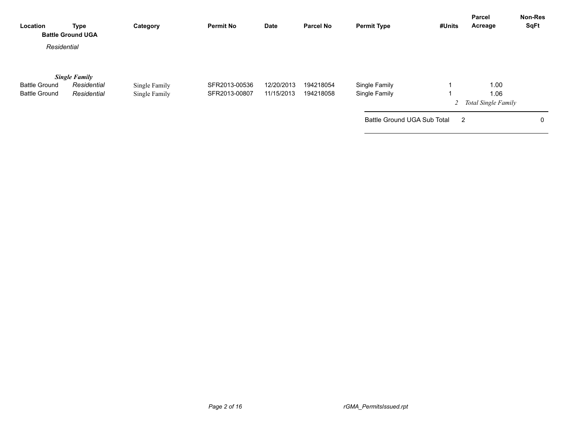| Type        | Category                                                        | <b>Permit No</b> | Date       | <b>Parcel No</b> | <b>Permit Type</b> | #Units | Acreage                     | <b>Non-Res</b><br><b>SqFt</b>                     |
|-------------|-----------------------------------------------------------------|------------------|------------|------------------|--------------------|--------|-----------------------------|---------------------------------------------------|
|             |                                                                 |                  |            |                  |                    |        |                             |                                                   |
|             |                                                                 |                  |            |                  |                    |        |                             |                                                   |
| Residential | Single Family                                                   | SFR2013-00536    | 12/20/2013 | 194218054        | Single Family      |        | 1.00                        |                                                   |
| Residential | Single Family                                                   | SFR2013-00807    | 11/15/2013 | 194218058        | Single Family      |        | 1.06                        |                                                   |
|             |                                                                 |                  |            |                  |                    |        |                             |                                                   |
|             |                                                                 |                  |            |                  |                    |        |                             | 0                                                 |
|             | <b>Battle Ground UGA</b><br>Residential<br><b>Single Family</b> |                  |            |                  |                    |        | Battle Ground UGA Sub Total | Parcel<br>2 Total Single Family<br>$\overline{2}$ |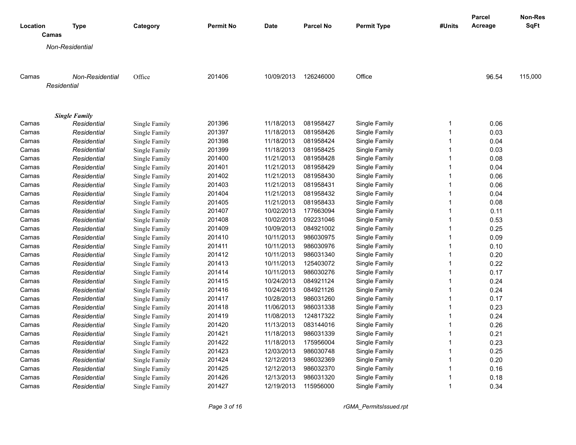|          |                        |               |                  |             |                  |                    |              | Parcel  | Non-Res     |
|----------|------------------------|---------------|------------------|-------------|------------------|--------------------|--------------|---------|-------------|
| Location | <b>Type</b>            | Category      | <b>Permit No</b> | <b>Date</b> | <b>Parcel No</b> | <b>Permit Type</b> | #Units       | Acreage | <b>SqFt</b> |
|          | Camas                  |               |                  |             |                  |                    |              |         |             |
|          | Non-Residential        |               |                  |             |                  |                    |              |         |             |
|          |                        |               |                  |             |                  |                    |              |         |             |
| Camas    | <b>Non-Residential</b> | Office        | 201406           | 10/09/2013  | 126246000        | Office             |              | 96.54   | 115,000     |
|          | Residential            |               |                  |             |                  |                    |              |         |             |
|          |                        |               |                  |             |                  |                    |              |         |             |
|          | <b>Single Family</b>   |               |                  |             |                  |                    |              |         |             |
| Camas    | Residential            | Single Family | 201396           | 11/18/2013  | 081958427        | Single Family      | 1            | 0.06    |             |
| Camas    | Residential            | Single Family | 201397           | 11/18/2013  | 081958426        | Single Family      | $\mathbf{1}$ | 0.03    |             |
| Camas    | Residential            | Single Family | 201398           | 11/18/2013  | 081958424        | Single Family      | $\mathbf{1}$ | 0.04    |             |
| Camas    | Residential            | Single Family | 201399           | 11/18/2013  | 081958425        | Single Family      | $\mathbf{1}$ | 0.03    |             |
| Camas    | Residential            | Single Family | 201400           | 11/21/2013  | 081958428        | Single Family      | 1            | 0.08    |             |
| Camas    | Residential            | Single Family | 201401           | 11/21/2013  | 081958429        | Single Family      | $\mathbf{1}$ | 0.04    |             |
| Camas    | Residential            | Single Family | 201402           | 11/21/2013  | 081958430        | Single Family      | $\mathbf{1}$ | 0.06    |             |
| Camas    | Residential            | Single Family | 201403           | 11/21/2013  | 081958431        | Single Family      | $\mathbf{1}$ | 0.06    |             |
| Camas    | Residential            | Single Family | 201404           | 11/21/2013  | 081958432        | Single Family      | $\mathbf{1}$ | 0.04    |             |
| Camas    | Residential            | Single Family | 201405           | 11/21/2013  | 081958433        | Single Family      | 1            | 0.08    |             |
| Camas    | Residential            | Single Family | 201407           | 10/02/2013  | 177663094        | Single Family      | $\mathbf{1}$ | 0.11    |             |
| Camas    | Residential            | Single Family | 201408           | 10/02/2013  | 092231046        | Single Family      | $\mathbf{1}$ | 0.53    |             |
| Camas    | Residential            | Single Family | 201409           | 10/09/2013  | 084921002        | Single Family      | $\mathbf{1}$ | 0.25    |             |
| Camas    | Residential            | Single Family | 201410           | 10/11/2013  | 986030975        | Single Family      | 1            | 0.09    |             |
| Camas    | Residential            | Single Family | 201411           | 10/11/2013  | 986030976        | Single Family      | $\mathbf{1}$ | 0.10    |             |
| Camas    | Residential            | Single Family | 201412           | 10/11/2013  | 986031340        | Single Family      | $\mathbf{1}$ | 0.20    |             |
| Camas    | Residential            | Single Family | 201413           | 10/11/2013  | 125403072        | Single Family      | $\mathbf{1}$ | 0.22    |             |
| Camas    | Residential            | Single Family | 201414           | 10/11/2013  | 986030276        | Single Family      | 1            | 0.17    |             |
| Camas    | Residential            | Single Family | 201415           | 10/24/2013  | 084921124        | Single Family      | $\mathbf{1}$ | 0.24    |             |
| Camas    | Residential            | Single Family | 201416           | 10/24/2013  | 084921126        | Single Family      | $\mathbf{1}$ | 0.24    |             |
| Camas    | Residential            | Single Family | 201417           | 10/28/2013  | 986031260        | Single Family      | $\mathbf{1}$ | 0.17    |             |
| Camas    | Residential            | Single Family | 201418           | 11/06/2013  | 986031338        | Single Family      | $\mathbf{1}$ | 0.23    |             |
| Camas    | Residential            | Single Family | 201419           | 11/08/2013  | 124817322        | Single Family      | $\mathbf{1}$ | 0.24    |             |
| Camas    | Residential            | Single Family | 201420           | 11/13/2013  | 083144016        | Single Family      | $\mathbf{1}$ | 0.26    |             |
| Camas    | Residential            | Single Family | 201421           | 11/18/2013  | 986031339        | Single Family      | 1            | 0.21    |             |
| Camas    | Residential            | Single Family | 201422           | 11/18/2013  | 175956004        | Single Family      | $\mathbf{1}$ | 0.23    |             |
| Camas    | Residential            | Single Family | 201423           | 12/03/2013  | 986030748        | Single Family      | $\mathbf{1}$ | 0.25    |             |
| Camas    | Residential            | Single Family | 201424           | 12/12/2013  | 986032369        | Single Family      | $\mathbf{1}$ | 0.20    |             |
| Camas    | Residential            | Single Family | 201425           | 12/12/2013  | 986032370        | Single Family      | $\mathbf{1}$ | 0.16    |             |
| Camas    | Residential            | Single Family | 201426           | 12/13/2013  | 986031320        | Single Family      | $\mathbf{1}$ | 0.18    |             |
| Camas    | Residential            | Single Family | 201427           | 12/19/2013  | 115956000        | Single Family      | 1            | 0.34    |             |
|          |                        |               |                  |             |                  |                    |              |         |             |

*Page 3 of 16 rGMA\_PermitsIssued.rpt*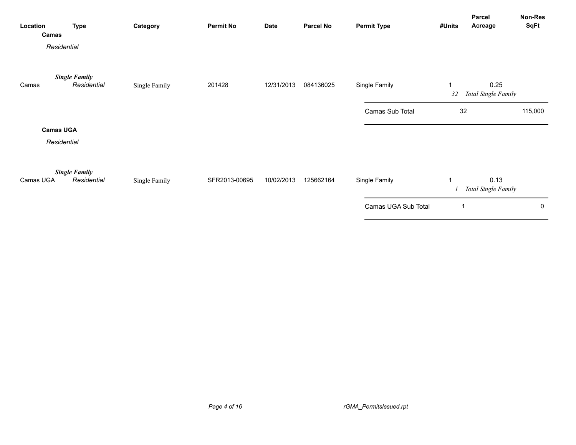| Location<br>Camas | <b>Type</b>                         | Category      | <b>Permit No</b> | <b>Date</b> | <b>Parcel No</b> | <b>Permit Type</b>  | #Units  | Parcel<br>Acreage           | Non-Res<br>SqFt |
|-------------------|-------------------------------------|---------------|------------------|-------------|------------------|---------------------|---------|-----------------------------|-----------------|
| Residential       |                                     |               |                  |             |                  |                     |         |                             |                 |
| Camas             | <b>Single Family</b><br>Residential | Single Family | 201428           | 12/31/2013  | 084136025        | Single Family       | 1<br>32 | 0.25<br>Total Single Family |                 |
|                   |                                     |               |                  |             |                  | Camas Sub Total     | 32      |                             | 115,000         |
| <b>Camas UGA</b>  |                                     |               |                  |             |                  |                     |         |                             |                 |
| Residential       |                                     |               |                  |             |                  |                     |         |                             |                 |
| Camas UGA         | <b>Single Family</b><br>Residential | Single Family | SFR2013-00695    | 10/02/2013  | 125662164        | Single Family       | 1       | 0.13<br>Total Single Family |                 |
|                   |                                     |               |                  |             |                  | Camas UGA Sub Total | 1       |                             | 0               |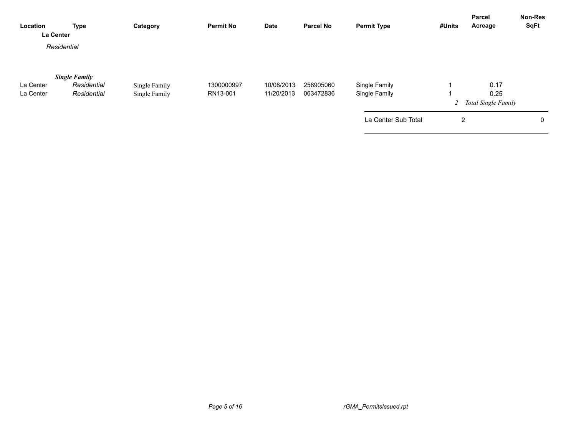| <b>Type</b>          | Category                 | <b>Permit No</b> | <b>Date</b> | <b>Parcel No</b> | <b>Permit Type</b>  | #Units | Acreage | Non-Res<br><b>SqFt</b>                                   |
|----------------------|--------------------------|------------------|-------------|------------------|---------------------|--------|---------|----------------------------------------------------------|
|                      |                          |                  |             |                  |                     |        |         |                                                          |
| <b>Single Family</b> |                          |                  |             |                  |                     |        |         |                                                          |
| Residential          | Single Family            | 1300000997       | 10/08/2013  | 258905060        | Single Family       |        | 0.17    |                                                          |
| Residential          | Single Family            | RN13-001         | 11/20/2013  | 063472836        | Single Family       |        | 0.25    |                                                          |
|                      |                          |                  |             |                  |                     |        |         |                                                          |
|                      |                          |                  |             |                  | La Center Sub Total |        |         | 0                                                        |
|                      | La Center<br>Residential |                  |             |                  |                     |        |         | <b>Parcel</b><br>2 Total Single Family<br>$\overline{2}$ |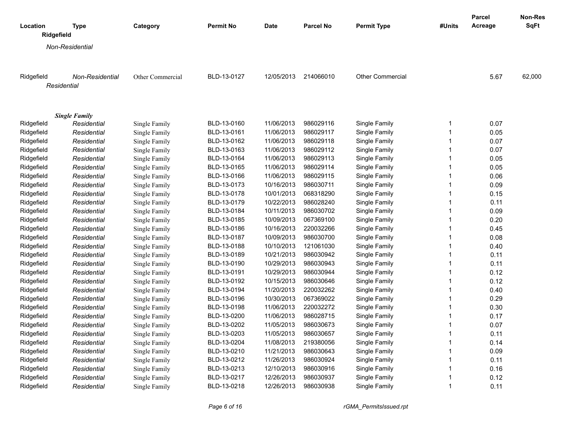|                        |                      |                  |                  |             |                  |                         |              | Parcel  | Non-Res     |
|------------------------|----------------------|------------------|------------------|-------------|------------------|-------------------------|--------------|---------|-------------|
| Location<br>Ridgefield | <b>Type</b>          | Category         | <b>Permit No</b> | <b>Date</b> | <b>Parcel No</b> | <b>Permit Type</b>      | #Units       | Acreage | <b>SqFt</b> |
|                        | Non-Residential      |                  |                  |             |                  |                         |              |         |             |
|                        |                      |                  |                  |             |                  |                         |              |         |             |
| Ridgefield             | Non-Residential      | Other Commercial | BLD-13-0127      | 12/05/2013  | 214066010        | <b>Other Commercial</b> |              | 5.67    | 62,000      |
| Residential            |                      |                  |                  |             |                  |                         |              |         |             |
|                        |                      |                  |                  |             |                  |                         |              |         |             |
|                        | <b>Single Family</b> |                  |                  |             |                  |                         |              |         |             |
| Ridgefield             | Residential          | Single Family    | BLD-13-0160      | 11/06/2013  | 986029116        | Single Family           | 1            | 0.07    |             |
| Ridgefield             | Residential          | Single Family    | BLD-13-0161      | 11/06/2013  | 986029117        | Single Family           | 1            | 0.05    |             |
| Ridgefield             | Residential          | Single Family    | BLD-13-0162      | 11/06/2013  | 986029118        | Single Family           | 1            | 0.07    |             |
| Ridgefield             | Residential          | Single Family    | BLD-13-0163      | 11/06/2013  | 986029112        | Single Family           | $\mathbf{1}$ | 0.07    |             |
| Ridgefield             | Residential          | Single Family    | BLD-13-0164      | 11/06/2013  | 986029113        | Single Family           | 1            | 0.05    |             |
| Ridgefield             | Residential          | Single Family    | BLD-13-0165      | 11/06/2013  | 986029114        | Single Family           | 1            | 0.05    |             |
| Ridgefield             | Residential          | Single Family    | BLD-13-0166      | 11/06/2013  | 986029115        | Single Family           | 1            | 0.06    |             |
| Ridgefield             | Residential          | Single Family    | BLD-13-0173      | 10/16/2013  | 986030711        | Single Family           | 1            | 0.09    |             |
| Ridgefield             | Residential          | Single Family    | BLD-13-0178      | 10/01/2013  | 068318290        | Single Family           | 1            | 0.15    |             |
| Ridgefield             | Residential          | Single Family    | BLD-13-0179      | 10/22/2013  | 986028240        | Single Family           | 1            | 0.11    |             |
| Ridgefield             | Residential          | Single Family    | BLD-13-0184      | 10/11/2013  | 986030702        | Single Family           | 1            | 0.09    |             |
| Ridgefield             | Residential          | Single Family    | BLD-13-0185      | 10/09/2013  | 067369100        | Single Family           | 1            | 0.20    |             |
| Ridgefield             | Residential          | Single Family    | BLD-13-0186      | 10/16/2013  | 220032266        | Single Family           | 1            | 0.45    |             |
| Ridgefield             | Residential          | Single Family    | BLD-13-0187      | 10/09/2013  | 986030700        | Single Family           | 1            | 0.08    |             |
| Ridgefield             | Residential          | Single Family    | BLD-13-0188      | 10/10/2013  | 121061030        | Single Family           | 1            | 0.40    |             |
| Ridgefield             | Residential          | Single Family    | BLD-13-0189      | 10/21/2013  | 986030942        | Single Family           | 1            | 0.11    |             |
| Ridgefield             | Residential          | Single Family    | BLD-13-0190      | 10/29/2013  | 986030943        | Single Family           | 1            | 0.11    |             |
| Ridgefield             | Residential          | Single Family    | BLD-13-0191      | 10/29/2013  | 986030944        | Single Family           | 1            | 0.12    |             |
| Ridgefield             | Residential          | Single Family    | BLD-13-0192      | 10/15/2013  | 986030646        | Single Family           | 1            | 0.12    |             |
| Ridgefield             | Residential          | Single Family    | BLD-13-0194      | 11/20/2013  | 220032262        | Single Family           | 1            | 0.40    |             |
| Ridgefield             | Residential          | Single Family    | BLD-13-0196      | 10/30/2013  | 067369022        | Single Family           | 1            | 0.29    |             |
| Ridgefield             | Residential          | Single Family    | BLD-13-0198      | 11/06/2013  | 220032272        | Single Family           | 1            | 0.30    |             |
| Ridgefield             | Residential          | Single Family    | BLD-13-0200      | 11/06/2013  | 986028715        | Single Family           | 1            | 0.17    |             |
| Ridgefield             | Residential          | Single Family    | BLD-13-0202      | 11/05/2013  | 986030673        | Single Family           | 1            | 0.07    |             |
| Ridgefield             | Residential          | Single Family    | BLD-13-0203      | 11/05/2013  | 986030657        | Single Family           | 1            | 0.11    |             |
| Ridgefield             | Residential          | Single Family    | BLD-13-0204      | 11/08/2013  | 219380056        | Single Family           | 1            | 0.14    |             |
| Ridgefield             | Residential          | Single Family    | BLD-13-0210      | 11/21/2013  | 986030643        | Single Family           | 1            | 0.09    |             |
| Ridgefield             | Residential          | Single Family    | BLD-13-0212      | 11/26/2013  | 986030924        | Single Family           | 1            | 0.11    |             |
| Ridgefield             | Residential          | Single Family    | BLD-13-0213      | 12/10/2013  | 986030916        | Single Family           | 1            | 0.16    |             |
| Ridgefield             | Residential          | Single Family    | BLD-13-0217      | 12/26/2013  | 986030937        | Single Family           | 1            | 0.12    |             |
| Ridgefield             | Residential          | Single Family    | BLD-13-0218      | 12/26/2013  | 986030938        | Single Family           | 1            | 0.11    |             |

*Page 6 of 16 rGMA\_PermitsIssued.rpt*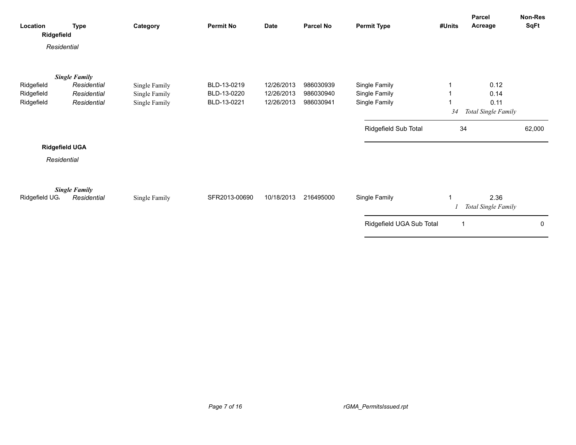| Location<br>Ridgefield   | <b>Type</b>                         | Category                       | <b>Permit No</b>           | <b>Date</b>              | Parcel No              | <b>Permit Type</b>             | #Units | Parcel<br>Acreage           | Non-Res<br>SqFt |
|--------------------------|-------------------------------------|--------------------------------|----------------------------|--------------------------|------------------------|--------------------------------|--------|-----------------------------|-----------------|
| Residential              |                                     |                                |                            |                          |                        |                                |        |                             |                 |
|                          | <b>Single Family</b>                |                                |                            |                          |                        |                                |        |                             |                 |
| Ridgefield               | Residential                         | Single Family                  | BLD-13-0219                | 12/26/2013               | 986030939<br>986030940 | Single Family                  |        | 0.12                        |                 |
| Ridgefield<br>Ridgefield | Residential<br>Residential          | Single Family<br>Single Family | BLD-13-0220<br>BLD-13-0221 | 12/26/2013<br>12/26/2013 | 986030941              | Single Family<br>Single Family |        | 0.14<br>0.11                |                 |
|                          |                                     |                                |                            |                          |                        |                                | 34     | Total Single Family         |                 |
|                          |                                     |                                |                            |                          |                        | Ridgefield Sub Total           | 34     |                             | 62,000          |
|                          | <b>Ridgefield UGA</b>               |                                |                            |                          |                        |                                |        |                             |                 |
| Residential              |                                     |                                |                            |                          |                        |                                |        |                             |                 |
| Ridgefield UG.           | <b>Single Family</b><br>Residential | Single Family                  | SFR2013-00690              | 10/18/2013               | 216495000              | Single Family                  | 1      | 2.36<br>Total Single Family |                 |
|                          |                                     |                                |                            |                          |                        | Ridgefield UGA Sub Total       | 1      |                             | 0               |
|                          |                                     |                                |                            |                          |                        |                                |        |                             |                 |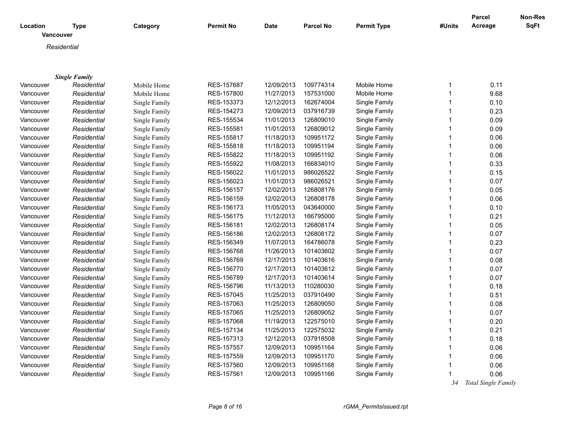| Location<br>Vancouver | <b>Type</b>                         | Category      | <b>Permit No</b> | <b>Date</b> | <b>Parcel No</b> | <b>Permit Type</b> | #Units       | <b>Parcel</b><br>Acreage | Non-Res<br>SqFt |
|-----------------------|-------------------------------------|---------------|------------------|-------------|------------------|--------------------|--------------|--------------------------|-----------------|
|                       |                                     |               |                  |             |                  |                    |              |                          |                 |
|                       | Residential                         |               |                  |             |                  |                    |              |                          |                 |
|                       |                                     |               |                  |             |                  |                    |              |                          |                 |
|                       |                                     |               |                  |             |                  |                    |              |                          |                 |
| Vancouver             | <b>Single Family</b><br>Residential | Mobile Home   | RES-157687       | 12/09/2013  | 109774314        | Mobile Home        | $\mathbf{1}$ | 0.11                     |                 |
| Vancouver             | Residential                         | Mobile Home   | RES-157800       | 11/27/2013  | 157531000        | Mobile Home        | $\mathbf{1}$ | 9.68                     |                 |
| Vancouver             | Residential                         | Single Family | RES-153373       | 12/12/2013  | 162674004        | Single Family      | $\mathbf{1}$ | 0.10                     |                 |
| Vancouver             | Residential                         | Single Family | RES-154273       | 12/09/2013  | 037916739        | Single Family      | $\mathbf{1}$ | 0.23                     |                 |
| Vancouver             | Residential                         | Single Family | RES-155534       | 11/01/2013  | 126809010        | Single Family      | $\mathbf{1}$ | 0.09                     |                 |
| Vancouver             | Residential                         | Single Family | RES-155581       | 11/01/2013  | 126809012        | Single Family      | 1            | 0.09                     |                 |
| Vancouver             | Residential                         | Single Family | RES-155817       | 11/18/2013  | 109951172        | Single Family      | 1            | 0.06                     |                 |
| Vancouver             | Residential                         | Single Family | RES-155818       | 11/18/2013  | 109951194        | Single Family      | $\mathbf{1}$ | 0.06                     |                 |
| Vancouver             | Residential                         | Single Family | RES-155822       | 11/18/2013  | 109951192        | Single Family      | $\mathbf{1}$ | 0.06                     |                 |
| Vancouver             | Residential                         | Single Family | RES-155922       | 11/08/2013  | 166834010        | Single Family      | $\mathbf{1}$ | 0.33                     |                 |
| Vancouver             | Residential                         | Single Family | RES-156022       | 11/01/2013  | 986026522        | Single Family      | $\mathbf{1}$ | 0.15                     |                 |
| Vancouver             | Residential                         | Single Family | RES-156023       | 11/01/2013  | 986026521        | Single Family      | $\mathbf{1}$ | 0.07                     |                 |
| Vancouver             | Residential                         | Single Family | RES-156157       | 12/02/2013  | 126808176        | Single Family      | $\mathbf{1}$ | 0.05                     |                 |
| Vancouver             | Residential                         | Single Family | RES-156159       | 12/02/2013  | 126808178        | Single Family      | 1            | 0.06                     |                 |
| Vancouver             | Residential                         | Single Family | RES-156173       | 11/05/2013  | 043640000        | Single Family      | 1            | 0.10                     |                 |
| Vancouver             | Residential                         | Single Family | RES-156175       | 11/12/2013  | 166795000        | Single Family      | $\mathbf{1}$ | 0.21                     |                 |
| Vancouver             | Residential                         | Single Family | RES-156181       | 12/02/2013  | 126808174        | Single Family      | $\mathbf{1}$ | 0.05                     |                 |
| Vancouver             | Residential                         | Single Family | RES-156186       | 12/02/2013  | 126808172        | Single Family      | 1            | 0.07                     |                 |
| Vancouver             | Residential                         | Single Family | RES-156349       | 11/07/2013  | 164786078        | Single Family      | $\mathbf{1}$ | 0.23                     |                 |
| Vancouver             | Residential                         | Single Family | RES-156768       | 11/26/2013  | 101403602        | Single Family      | $\mathbf{1}$ | 0.07                     |                 |
| Vancouver             | Residential                         | Single Family | RES-156769       | 12/17/2013  | 101403616        | Single Family      | $\mathbf{1}$ | 0.08                     |                 |
| Vancouver             | Residential                         | Single Family | RES-156770       | 12/17/2013  | 101403612        | Single Family      | 1            | 0.07                     |                 |
| Vancouver             | Residential                         | Single Family | RES-156789       | 12/17/2013  | 101403614        | Single Family      | $\mathbf{1}$ | 0.07                     |                 |
| Vancouver             | Residential                         | Single Family | RES-156796       | 11/13/2013  | 110280030        | Single Family      | $\mathbf{1}$ | 0.18                     |                 |
| Vancouver             | Residential                         | Single Family | RES-157045       | 11/25/2013  | 037910490        | Single Family      | $\mathbf{1}$ | 0.51                     |                 |
| Vancouver             | Residential                         | Single Family | RES-157063       | 11/25/2013  | 126809050        | Single Family      | 1            | 0.08                     |                 |
| Vancouver             | Residential                         | Single Family | RES-157065       | 11/25/2013  | 126809052        | Single Family      | $\mathbf{1}$ | 0.07                     |                 |
| Vancouver             | Residential                         | Single Family | RES-157068       | 11/19/2013  | 122575010        | Single Family      | $\mathbf{1}$ | 0.20                     |                 |
| Vancouver             | Residential                         | Single Family | RES-157134       | 11/25/2013  | 122575032        | Single Family      | $\mathbf{1}$ | 0.21                     |                 |
| Vancouver             | Residential                         | Single Family | RES-157313       | 12/12/2013  | 037918508        | Single Family      | $\mathbf{1}$ | 0.18                     |                 |
| Vancouver             | Residential                         | Single Family | RES-157557       | 12/09/2013  | 109951164        | Single Family      | $\mathbf{1}$ | 0.06                     |                 |
| Vancouver             | Residential                         | Single Family | RES-157559       | 12/09/2013  | 109951170        | Single Family      | 1            | 0.06                     |                 |
| Vancouver             | Residential                         | Single Family | RES-157560       | 12/09/2013  | 109951168        | Single Family      | 1            | 0.06                     |                 |
| Vancouver             | Residential                         | Single Family | RES-157561       | 12/09/2013  | 109951166        | Single Family      | $\mathbf{1}$ | 0.06                     |                 |
|                       |                                     |               |                  |             |                  |                    |              | $24$ Tatal Cinals Equils |                 |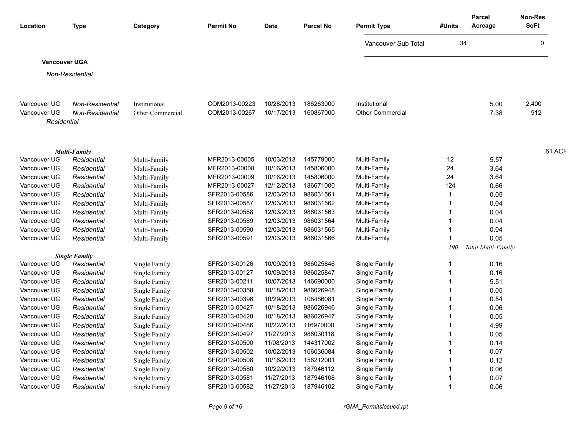| Location             | <b>Type</b>                         | Category         | <b>Permit No</b> | <b>Date</b> | <b>Parcel No</b> | <b>Permit Type</b>      | #Units | <b>Parcel</b><br>Acreage | Non-Res<br><b>SqFt</b> |
|----------------------|-------------------------------------|------------------|------------------|-------------|------------------|-------------------------|--------|--------------------------|------------------------|
|                      |                                     |                  |                  |             |                  |                         |        |                          |                        |
|                      |                                     |                  |                  |             |                  | Vancouver Sub Total     | 34     |                          | $\Omega$               |
| <b>Vancouver UGA</b> |                                     |                  |                  |             |                  |                         |        |                          |                        |
|                      | Non-Residential                     |                  |                  |             |                  |                         |        |                          |                        |
|                      |                                     |                  |                  |             |                  |                         |        |                          |                        |
| Vancouver UG         | Non-Residential                     | Institutional    | COM2013-00223    | 10/28/2013  | 186263000        | Institutional           |        | 5.00                     | 2,400                  |
| Vancouver UG         | Non-Residential                     | Other Commercial | COM2013-00267    | 10/17/2013  | 160867000        | <b>Other Commercial</b> |        | 7.38                     | 912                    |
| Residential          |                                     |                  |                  |             |                  |                         |        |                          |                        |
|                      |                                     |                  |                  |             |                  |                         |        |                          |                        |
|                      | <b>Multi-Family</b>                 |                  |                  |             |                  |                         |        |                          | .61 ACF                |
| Vancouver UG         | Residential                         | Multi-Family     | MFR2013-00005    | 10/03/2013  | 145779000        | Multi-Family            | 12     | 5.57                     |                        |
| Vancouver UG         | Residential                         | Multi-Family     | MFR2013-00008    | 10/16/2013  | 145806000        | Multi-Family            | 24     | 3.64                     |                        |
| Vancouver UG         | Residential                         | Multi-Family     | MFR2013-00009    | 10/16/2013  | 145806000        | Multi-Family            | 24     | 3.64                     |                        |
| Vancouver UG         | Residential                         | Multi-Family     | MFR2013-00027    | 12/12/2013  | 186671000        | Multi-Family            | 124    | 0.66                     |                        |
| Vancouver UG         | Residential                         | Multi-Family     | SFR2013-00586    | 12/03/2013  | 986031561        | Multi-Family            |        | 0.05                     |                        |
| Vancouver UG         | Residential                         | Multi-Family     | SFR2013-00587    | 12/03/2013  | 986031562        | Multi-Family            |        | 0.04                     |                        |
| Vancouver UG         | Residential                         | Multi-Family     | SFR2013-00588    | 12/03/2013  | 986031563        | Multi-Family            |        | 0.04                     |                        |
| Vancouver UG         | Residential                         | Multi-Family     | SFR2013-00589    | 12/03/2013  | 986031564        | Multi-Family            |        | 0.04                     |                        |
| Vancouver UG         | Residential                         | Multi-Family     | SFR2013-00590    | 12/03/2013  | 986031565        | Multi-Family            |        | 0.04                     |                        |
| Vancouver UG         | Residential                         | Multi-Family     | SFR2013-00591    | 12/03/2013  | 986031566        | Multi-Family            |        | 0.05                     |                        |
|                      |                                     |                  |                  |             |                  |                         | 190    | Total Multi-Family       |                        |
| Vancouver UG         | <b>Single Family</b><br>Residential | Single Family    | SFR2013-00126    | 10/09/2013  | 986025846        | Single Family           |        | 0.16                     |                        |
| Vancouver UG         | Residential                         | Single Family    | SFR2013-00127    | 10/09/2013  | 986025847        | Single Family           |        | 0.16                     |                        |
| Vancouver UG         | Residential                         | Single Family    | SFR2013-00211    | 10/07/2013  | 146690000        | Single Family           |        | 5.51                     |                        |
| Vancouver UG         | Residential                         | Single Family    | SFR2013-00358    | 10/18/2013  | 986026948        | Single Family           |        | 0.05                     |                        |
| Vancouver UG         | Residential                         | Single Family    | SFR2013-00396    | 10/29/2013  | 108486081        | Single Family           |        | 0.54                     |                        |
| Vancouver UG         | Residential                         | Single Family    | SFR2013-00427    | 10/18/2013  | 986026946        | Single Family           |        | 0.06                     |                        |
| Vancouver UG         | Residential                         | Single Family    | SFR2013-00428    | 10/18/2013  | 986026947        | <b>Single Family</b>    |        | 0.05                     |                        |
| Vancouver UG         | Residential                         | Single Family    | SFR2013-00486    | 10/22/2013  | 116970000        | Single Family           |        | 4.99                     |                        |
| Vancouver UG         | Residential                         | Single Family    | SFR2013-00497    | 11/27/2013  | 986030118        | <b>Single Family</b>    |        | 0.05                     |                        |
| Vancouver UG         | Residential                         | Single Family    | SFR2013-00500    | 11/08/2013  | 144317002        | Single Family           |        | 0.14                     |                        |
| Vancouver UG         | Residential                         | Single Family    | SFR2013-00502    | 10/02/2013  | 106036084        | Single Family           |        | 0.07                     |                        |
| Vancouver UG         | Residential                         | Single Family    | SFR2013-00508    | 10/16/2013  | 156212001        | <b>Single Family</b>    |        | 0.12                     |                        |
| Vancouver UG         | Residential                         | Single Family    | SFR2013-00580    | 10/22/2013  | 187946112        | Single Family           |        | 0.06                     |                        |
| Vancouver UG         | Residential                         | Single Family    | SFR2013-00581    | 11/27/2013  | 187946108        | Single Family           |        | 0.07                     |                        |
| Vancouver UG         | Residential                         | Single Family    | SFR2013-00582    | 11/27/2013  | 187946102        | Single Family           |        | 0.06                     |                        |

*Page 9 of 16 rGMA\_PermitsIssued.rpt*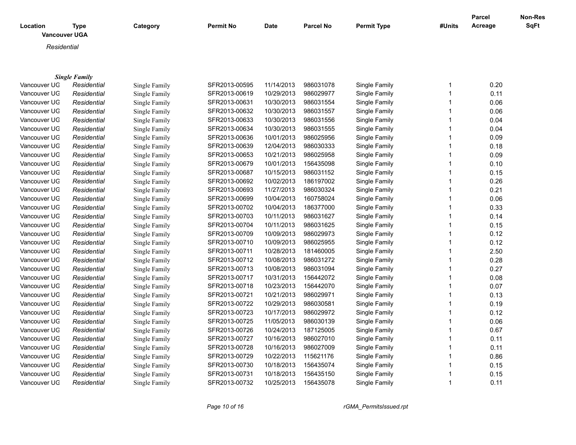| Location<br><b>Vancouver UGA</b> | <b>Type</b>          | Category      | <b>Permit No</b> | <b>Date</b> | <b>Parcel No</b> | <b>Permit Type</b> | #Units | Parcel<br>Acreage | <b>Non-Res</b><br><b>SqFt</b> |
|----------------------------------|----------------------|---------------|------------------|-------------|------------------|--------------------|--------|-------------------|-------------------------------|
|                                  |                      |               |                  |             |                  |                    |        |                   |                               |
| Residential                      |                      |               |                  |             |                  |                    |        |                   |                               |
|                                  |                      |               |                  |             |                  |                    |        |                   |                               |
|                                  | <b>Single Family</b> |               |                  |             |                  |                    |        |                   |                               |
| Vancouver UG                     | Residential          | Single Family | SFR2013-00595    | 11/14/2013  | 986031078        | Single Family      | -1     | 0.20              |                               |
| Vancouver UG                     | Residential          | Single Family | SFR2013-00619    | 10/29/2013  | 986029977        | Single Family      |        | 0.11              |                               |
| Vancouver UG                     | Residential          | Single Family | SFR2013-00631    | 10/30/2013  | 986031554        | Single Family      |        | 0.06              |                               |
| Vancouver UG                     | Residential          | Single Family | SFR2013-00632    | 10/30/2013  | 986031557        | Single Family      |        | 0.06              |                               |
| Vancouver UG                     | Residential          | Single Family | SFR2013-00633    | 10/30/2013  | 986031556        | Single Family      |        | 0.04              |                               |
| Vancouver UG                     | Residential          | Single Family | SFR2013-00634    | 10/30/2013  | 986031555        | Single Family      |        | 0.04              |                               |
| Vancouver UG                     | Residential          | Single Family | SFR2013-00636    | 10/01/2013  | 986025956        | Single Family      |        | 0.09              |                               |
| Vancouver UG                     | Residential          | Single Family | SFR2013-00639    | 12/04/2013  | 986030333        | Single Family      |        | 0.18              |                               |
| Vancouver UG                     | Residential          | Single Family | SFR2013-00653    | 10/21/2013  | 986025958        | Single Family      |        | 0.09              |                               |
| Vancouver UG                     | Residential          | Single Family | SFR2013-00679    | 10/01/2013  | 156435098        | Single Family      |        | 0.10              |                               |
| Vancouver UG                     | Residential          | Single Family | SFR2013-00687    | 10/15/2013  | 986031152        | Single Family      |        | 0.15              |                               |
| Vancouver UG                     | Residential          | Single Family | SFR2013-00692    | 10/02/2013  | 186197002        | Single Family      |        | 0.26              |                               |
| Vancouver UG                     | Residential          | Single Family | SFR2013-00693    | 11/27/2013  | 986030324        | Single Family      |        | 0.21              |                               |
| Vancouver UG                     | Residential          | Single Family | SFR2013-00699    | 10/04/2013  | 160758024        | Single Family      |        | 0.06              |                               |
| Vancouver UG                     | Residential          | Single Family | SFR2013-00702    | 10/04/2013  | 186377000        | Single Family      |        | 0.33              |                               |
| Vancouver UG                     | Residential          | Single Family | SFR2013-00703    | 10/11/2013  | 986031627        | Single Family      |        | 0.14              |                               |
| Vancouver UG                     | Residential          | Single Family | SFR2013-00704    | 10/11/2013  | 986031625        | Single Family      |        | 0.15              |                               |
| Vancouver UG                     | Residential          | Single Family | SFR2013-00709    | 10/09/2013  | 986029973        | Single Family      |        | 0.12              |                               |
| Vancouver UG                     | Residential          | Single Family | SFR2013-00710    | 10/09/2013  | 986025955        | Single Family      |        | 0.12              |                               |
| Vancouver UG                     | Residential          | Single Family | SFR2013-00711    | 10/28/2013  | 181460005        | Single Family      |        | 2.50              |                               |
| Vancouver UG                     | Residential          | Single Family | SFR2013-00712    | 10/08/2013  | 986031272        | Single Family      |        | 0.28              |                               |
| Vancouver UG                     | Residential          | Single Family | SFR2013-00713    | 10/08/2013  | 986031094        | Single Family      |        | 0.27              |                               |
| Vancouver UG                     | Residential          | Single Family | SFR2013-00717    | 10/31/2013  | 156442072        | Single Family      |        | 0.08              |                               |
| Vancouver UG                     | Residential          | Single Family | SFR2013-00718    | 10/23/2013  | 156442070        | Single Family      |        | 0.07              |                               |
| Vancouver UG                     | Residential          | Single Family | SFR2013-00721    | 10/21/2013  | 986029971        | Single Family      |        | 0.13              |                               |
| Vancouver UG                     | Residential          | Single Family | SFR2013-00722    | 10/29/2013  | 986030581        | Single Family      |        | 0.19              |                               |
| Vancouver UG                     | Residential          | Single Family | SFR2013-00723    | 10/17/2013  | 986029972        | Single Family      |        | 0.12              |                               |
| Vancouver UG                     | Residential          | Single Family | SFR2013-00725    | 11/05/2013  | 986030139        | Single Family      |        | 0.06              |                               |
| Vancouver UG                     | Residential          | Single Family | SFR2013-00726    | 10/24/2013  | 187125005        | Single Family      |        | 0.67              |                               |

Vancouver UG *Residential* Single Family SFR2013-00727 10/16/2013 986027010 Single Family 1 0.11 0.11 Vancouver UG *Residential* Single Family SFR2013-00728 10/16/2013 986027009 Single Family 1 0.11 0.11 Vancouver UGA *Residential* Single Family SFR2013-00729 10/22/2013 115621176 Single Family 1 0.86 Vancouver UGA *Residential* Single Family SFR2013-00730 10/18/2013 156435074 Single Family 1 0.15 Vancouver UGA *Residential* Single Family SFR2013-00731 10/18/2013 156435150 Single Family 1 0.15 Vancouver UGA *Residential* Single Family SFR2013-00732 10/25/2013 156435078 Single Family 1 0.11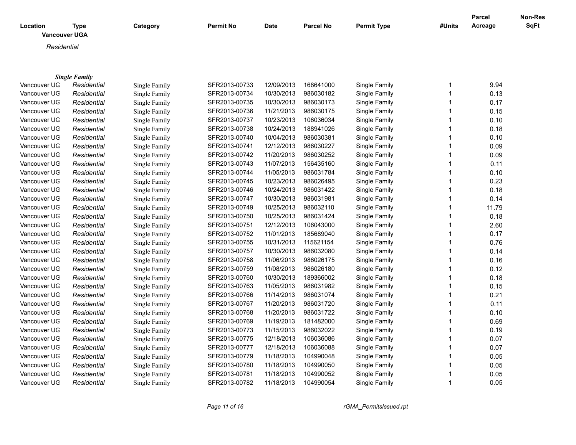| Location     | <b>Type</b>          | Category             | <b>Permit No</b> | <b>Date</b> | <b>Parcel No</b> | <b>Permit Type</b> | #Units       | <b>Parcel</b><br>Acreage | Non-Res<br><b>SqFt</b> |
|--------------|----------------------|----------------------|------------------|-------------|------------------|--------------------|--------------|--------------------------|------------------------|
|              | <b>Vancouver UGA</b> |                      |                  |             |                  |                    |              |                          |                        |
| Residential  |                      |                      |                  |             |                  |                    |              |                          |                        |
|              |                      |                      |                  |             |                  |                    |              |                          |                        |
|              |                      |                      |                  |             |                  |                    |              |                          |                        |
|              | <b>Single Family</b> |                      |                  |             |                  |                    |              |                          |                        |
| Vancouver UG | Residential          | Single Family        | SFR2013-00733    | 12/09/2013  | 168641000        | Single Family      | $\mathbf{1}$ | 9.94                     |                        |
| Vancouver UG | Residential          | Single Family        | SFR2013-00734    | 10/30/2013  | 986030182        | Single Family      | 1            | 0.13                     |                        |
| Vancouver UG | Residential          | Single Family        | SFR2013-00735    | 10/30/2013  | 986030173        | Single Family      | $\mathbf{1}$ | 0.17                     |                        |
| Vancouver UG | Residential          | Single Family        | SFR2013-00736    | 11/21/2013  | 986030175        | Single Family      | 1            | 0.15                     |                        |
| Vancouver UG | Residential          | Single Family        | SFR2013-00737    | 10/23/2013  | 106036034        | Single Family      | 1            | 0.10                     |                        |
| Vancouver UG | Residential          | Single Family        | SFR2013-00738    | 10/24/2013  | 188941026        | Single Family      | 1            | 0.18                     |                        |
| Vancouver UG | Residential          | Single Family        | SFR2013-00740    | 10/04/2013  | 986030381        | Single Family      | 1            | 0.10                     |                        |
| Vancouver UG | Residential          | Single Family        | SFR2013-00741    | 12/12/2013  | 986030227        | Single Family      | 1            | 0.09                     |                        |
| Vancouver UG | Residential          | Single Family        | SFR2013-00742    | 11/20/2013  | 986030252        | Single Family      | 1            | 0.09                     |                        |
| Vancouver UG | Residential          | Single Family        | SFR2013-00743    | 11/07/2013  | 156435160        | Single Family      | 1            | 0.11                     |                        |
| Vancouver UG | Residential          | Single Family        | SFR2013-00744    | 11/05/2013  | 986031784        | Single Family      | 1            | 0.10                     |                        |
| Vancouver UG | Residential          | Single Family        | SFR2013-00745    | 10/23/2013  | 986026495        | Single Family      | 1            | 0.23                     |                        |
| Vancouver UG | Residential          | Single Family        | SFR2013-00746    | 10/24/2013  | 986031422        | Single Family      | 1            | 0.18                     |                        |
| Vancouver UG | Residential          | Single Family        | SFR2013-00747    | 10/30/2013  | 986031981        | Single Family      | 1            | 0.14                     |                        |
| Vancouver UG | Residential          | Single Family        | SFR2013-00749    | 10/25/2013  | 986032110        | Single Family      | 1            | 11.79                    |                        |
| Vancouver UG | Residential          | Single Family        | SFR2013-00750    | 10/25/2013  | 986031424        | Single Family      | 1            | 0.18                     |                        |
| Vancouver UG | Residential          | Single Family        | SFR2013-00751    | 12/12/2013  | 106043000        | Single Family      | 1            | 2.60                     |                        |
| Vancouver UG | Residential          | Single Family        | SFR2013-00752    | 11/01/2013  | 185689040        | Single Family      | 1            | 0.17                     |                        |
| Vancouver UG | Residential          | Single Family        | SFR2013-00755    | 10/31/2013  | 115621154        | Single Family      | 1            | 0.76                     |                        |
| Vancouver UG | Residential          | Single Family        | SFR2013-00757    | 10/30/2013  | 986032080        | Single Family      | 1            | 0.14                     |                        |
| Vancouver UG | Residential          | Single Family        | SFR2013-00758    | 11/06/2013  | 986026175        | Single Family      | 1            | 0.16                     |                        |
| Vancouver UG | Residential          | Single Family        | SFR2013-00759    | 11/08/2013  | 986026180        | Single Family      | 1            | 0.12                     |                        |
| Vancouver UG | Residential          | Single Family        | SFR2013-00760    | 10/30/2013  | 189366002        | Single Family      | 1            | 0.18                     |                        |
| Vancouver UG | Residential          | Single Family        | SFR2013-00763    | 11/05/2013  | 986031982        | Single Family      | 1            | 0.15                     |                        |
| Vancouver UG | Residential          | Single Family        | SFR2013-00766    | 11/14/2013  | 986031074        | Single Family      | 1            | 0.21                     |                        |
| Vancouver UG | Residential          | <b>Single Family</b> | SFR2013-00767    | 11/20/2013  | 986031720        | Single Family      | $\mathbf{1}$ | 0.11                     |                        |
| Vancouver UG | Residential          | Single Family        | SFR2013-00768    | 11/20/2013  | 986031722        | Single Family      | 1            | 0.10                     |                        |
| Vancouver UG | Residential          | Single Family        | SFR2013-00769    | 11/19/2013  | 181482000        | Single Family      | $\mathbf 1$  | 0.69                     |                        |
| Vancouver UG | Residential          | Single Family        | SFR2013-00773    | 11/15/2013  | 986032022        | Single Family      | 1            | 0.19                     |                        |
| Vancouver UG | Residential          | Single Family        | SFR2013-00775    | 12/18/2013  | 106036086        | Single Family      | 1            | 0.07                     |                        |
| Vancouver UG | Residential          | Single Family        | SFR2013-00777    | 12/18/2013  | 106036088        | Single Family      | 1            | 0.07                     |                        |
| Vancouver UG | Residential          | Single Family        | SFR2013-00779    | 11/18/2013  | 104990048        | Single Family      | 1            | 0.05                     |                        |
| Vancouver UG | Residential          | Single Family        | SFR2013-00780    | 11/18/2013  | 104990050        | Single Family      | 1            | 0.05                     |                        |
| Vancouver UG | Residential          | Single Family        | SFR2013-00781    | 11/18/2013  | 104990052        | Single Family      | 1            | 0.05                     |                        |
| Vancouver UG | Residential          | Single Family        | SFR2013-00782    | 11/18/2013  | 104990054        | Single Family      | $\mathbf{1}$ | 0.05                     |                        |

*Page 11 of 16 rGMA\_PermitsIssued.rpt*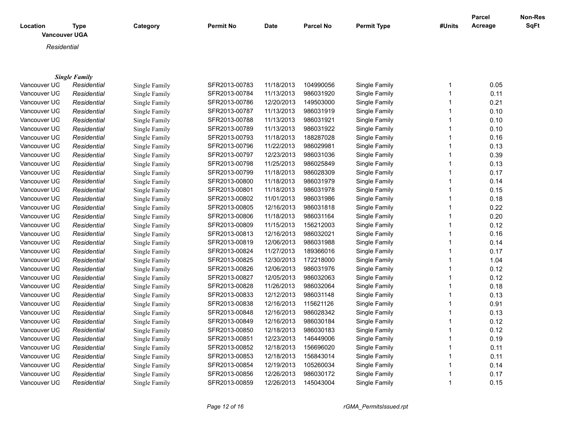| Location<br><b>Vancouver UGA</b> | Type                 | Category      | <b>Permit No</b> | <b>Date</b> | <b>Parcel No</b> | <b>Permit Type</b> | #Units | <b>Parcel</b><br>Acreage | Non-Res<br><b>SqFt</b> |
|----------------------------------|----------------------|---------------|------------------|-------------|------------------|--------------------|--------|--------------------------|------------------------|
| Residential                      |                      |               |                  |             |                  |                    |        |                          |                        |
|                                  |                      |               |                  |             |                  |                    |        |                          |                        |
|                                  | <b>Single Family</b> |               |                  |             |                  |                    |        |                          |                        |
| Vancouver UG                     | Residential          | Single Family | SFR2013-00783    | 11/18/2013  | 104990056        | Single Family      |        | 0.05                     |                        |

|              |             | omgiv i anniy |               |            |           |               | v.vv |
|--------------|-------------|---------------|---------------|------------|-----------|---------------|------|
| Vancouver UG | Residential | Single Family | SFR2013-00784 | 11/13/2013 | 986031920 | Single Family | 0.11 |
| Vancouver UG | Residential | Single Family | SFR2013-00786 | 12/20/2013 | 149503000 | Single Family | 0.21 |
| Vancouver UG | Residential | Single Family | SFR2013-00787 | 11/13/2013 | 986031919 | Single Family | 0.10 |
| Vancouver UG | Residential | Single Family | SFR2013-00788 | 11/13/2013 | 986031921 | Single Family | 0.10 |
| Vancouver UG | Residential | Single Family | SFR2013-00789 | 11/13/2013 | 986031922 | Single Family | 0.10 |
| Vancouver UG | Residential | Single Family | SFR2013-00793 | 11/18/2013 | 188287028 | Single Family | 0.16 |
| Vancouver UG | Residential | Single Family | SFR2013-00796 | 11/22/2013 | 986029981 | Single Family | 0.13 |
| Vancouver UG | Residential | Single Family | SFR2013-00797 | 12/23/2013 | 986031036 | Single Family | 0.39 |
| Vancouver UG | Residential | Single Family | SFR2013-00798 | 11/25/2013 | 986025849 | Single Family | 0.13 |
| Vancouver UG | Residential | Single Family | SFR2013-00799 | 11/18/2013 | 986028309 | Single Family | 0.17 |
| Vancouver UG | Residential | Single Family | SFR2013-00800 | 11/18/2013 | 986031979 | Single Family | 0.14 |
| Vancouver UG | Residential | Single Family | SFR2013-00801 | 11/18/2013 | 986031978 | Single Family | 0.15 |
| Vancouver UG | Residential | Single Family | SFR2013-00802 | 11/01/2013 | 986031986 | Single Family | 0.18 |
| Vancouver UG | Residential | Single Family | SFR2013-00805 | 12/16/2013 | 986031818 | Single Family | 0.22 |
| Vancouver UG | Residential | Single Family | SFR2013-00806 | 11/18/2013 | 986031164 | Single Family | 0.20 |
| Vancouver UG | Residential | Single Family | SFR2013-00809 | 11/15/2013 | 156212003 | Single Family | 0.12 |
| Vancouver UG | Residential | Single Family | SFR2013-00813 | 12/16/2013 | 986032021 | Single Family | 0.16 |
| Vancouver UG | Residential | Single Family | SFR2013-00819 | 12/06/2013 | 986031988 | Single Family | 0.14 |
| Vancouver UG | Residential | Single Family | SFR2013-00824 | 11/27/2013 | 189366016 | Single Family | 0.17 |
| Vancouver UG | Residential | Single Family | SFR2013-00825 | 12/30/2013 | 172218000 | Single Family | 1.04 |
| Vancouver UG | Residential | Single Family | SFR2013-00826 | 12/06/2013 | 986031976 | Single Family | 0.12 |
| Vancouver UG | Residential | Single Family | SFR2013-00827 | 12/05/2013 | 986032063 | Single Family | 0.12 |
| Vancouver UG | Residential | Single Family | SFR2013-00828 | 11/26/2013 | 986032064 | Single Family | 0.18 |
| Vancouver UG | Residential | Single Family | SFR2013-00833 | 12/12/2013 | 986031148 | Single Family | 0.13 |
| Vancouver UG | Residential | Single Family | SFR2013-00838 | 12/16/2013 | 115621126 | Single Family | 0.91 |
| Vancouver UG | Residential | Single Family | SFR2013-00848 | 12/16/2013 | 986028342 | Single Family | 0.13 |
| Vancouver UG | Residential | Single Family | SFR2013-00849 | 12/16/2013 | 986030184 | Single Family | 0.12 |
| Vancouver UG | Residential | Single Family | SFR2013-00850 | 12/18/2013 | 986030183 | Single Family | 0.12 |
| Vancouver UG | Residential | Single Family | SFR2013-00851 | 12/23/2013 | 146449006 | Single Family | 0.19 |
| Vancouver UG | Residential | Single Family | SFR2013-00852 | 12/18/2013 | 156696020 | Single Family | 0.11 |
| Vancouver UG | Residential | Single Family | SFR2013-00853 | 12/18/2013 | 156843014 | Single Family | 0.11 |
| Vancouver UG | Residential | Single Family | SFR2013-00854 | 12/19/2013 | 105260034 | Single Family | 0.14 |
| Vancouver UG | Residential | Single Family | SFR2013-00856 | 12/26/2013 | 986030172 | Single Family | 0.17 |
| Vancouver UG | Residential | Single Family | SFR2013-00859 | 12/26/2013 | 145043004 | Single Family | 0.15 |
|              |             |               |               |            |           |               |      |

*Page 12 of 16 rGMA\_PermitsIssued.rpt*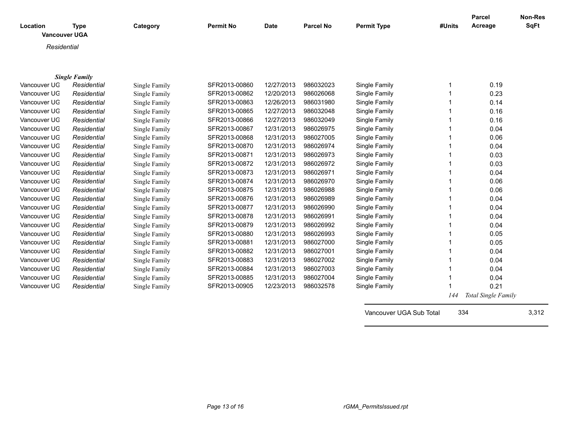| Location<br><b>Vancouver UGA</b> | <b>Type</b>          | Category      | <b>Permit No</b> | <b>Date</b> | Parcel No | <b>Permit Type</b> | #Units | Parcel<br>Acreage | <b>Non-Res</b><br><b>SqFt</b> |
|----------------------------------|----------------------|---------------|------------------|-------------|-----------|--------------------|--------|-------------------|-------------------------------|
| Residential                      |                      |               |                  |             |           |                    |        |                   |                               |
|                                  |                      |               |                  |             |           |                    |        |                   |                               |
|                                  |                      |               |                  |             |           |                    |        |                   |                               |
|                                  | <b>Single Family</b> |               |                  |             |           |                    |        |                   |                               |
| Vancouver UG                     | Residential          | Single Family | SFR2013-00860    | 12/27/2013  | 986032023 | Single Family      |        | 0.19              |                               |
| Vancouver UG                     | Residential          | Single Family | SFR2013-00862    | 12/20/2013  | 986026068 | Single Family      |        | 0.23              |                               |
| Vancouver UG                     | Residential          | Single Family | SFR2013-00863    | 12/26/2013  | 986031980 | Single Family      |        | 0.14              |                               |
| Vancouver UG                     | Residential          | Single Family | SFR2013-00865    | 12/27/2013  | 986032048 | Single Family      |        | 0.16              |                               |
| Vancouver UG                     | Residential          | Single Family | SFR2013-00866    | 12/27/2013  | 986032049 | Single Family      |        | 0.16              |                               |
| Vancouver UG                     | Residential          | Single Family | SFR2013-00867    | 12/31/2013  | 986026975 | Single Family      |        | 0.04              |                               |
| Vancouver UG                     | Residential          | Single Family | SFR2013-00868    | 12/31/2013  | 986027005 | Single Family      |        | 0.06              |                               |
| Vancouver UG                     | Residential          | Single Family | SFR2013-00870    | 12/31/2013  | 986026974 | Single Family      |        | 0.04              |                               |
| Vancouver UG                     | Residential          | Single Family | SFR2013-00871    | 12/31/2013  | 986026973 | Single Family      |        | 0.03              |                               |
| Vancouver UG                     | Residential          | Single Family | SFR2013-00872    | 12/31/2013  | 986026972 | Single Family      |        | 0.03              |                               |
| Vancouver UG                     | Residential          | Single Family | SFR2013-00873    | 12/31/2013  | 986026971 | Single Family      |        | 0.04              |                               |
| Vancouver UG                     | Residential          | Single Family | SFR2013-00874    | 12/31/2013  | 986026970 | Single Family      |        | 0.06              |                               |
| Vancouver UG                     | Residential          | Single Family | SFR2013-00875    | 12/31/2013  | 986026988 | Single Family      |        | 0.06              |                               |
| Vancouver UG                     | Residential          | Single Family | SFR2013-00876    | 12/31/2013  | 986026989 | Single Family      |        | 0.04              |                               |
| Vancouver UG                     | Residential          | Single Family | SFR2013-00877    | 12/31/2013  | 986026990 | Single Family      |        | 0.04              |                               |
| Vancouver UG                     | Residential          | Single Family | SFR2013-00878    | 12/31/2013  | 986026991 | Single Family      |        | 0.04              |                               |
| Vancouver UG                     | Residential          | Single Family | SFR2013-00879    | 12/31/2013  | 986026992 | Single Family      |        | 0.04              |                               |
| Vancouver UG                     | Residential          | Single Family | SFR2013-00880    | 12/31/2013  | 986026993 | Single Family      |        | 0.05              |                               |
| Vancouver UG                     | Residential          | Single Family | SFR2013-00881    | 12/31/2013  | 986027000 | Single Family      |        | 0.05              |                               |
| Vancouver UG                     | Residential          | Single Family | SFR2013-00882    | 12/31/2013  | 986027001 | Single Family      |        | 0.04              |                               |
| Vancouver UG                     | Residential          | Single Family | SFR2013-00883    | 12/31/2013  | 986027002 | Single Family      |        | 0.04              |                               |
| Vancouver UG                     | Residential          | Single Family | SFR2013-00884    | 12/31/2013  | 986027003 | Single Family      |        | 0.04              |                               |

Vancouver UGA *Residential* Single Family SFR2013-00885 12/31/2013 986027004 Single Family 1 0.04 Vancouver UGA *Residential* Single Family SFR2013-00905 12/23/2013 986032578 Single Family 1 0.21

 *144 Total Single Family*

Vancouver UGA Sub Total 334 3,312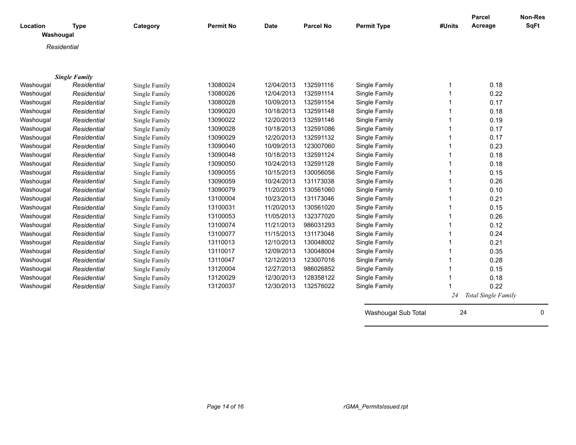| Location  | <b>Type</b>          | Category      | <b>Permit No</b> | <b>Date</b> | <b>Parcel No</b> | <b>Permit Type</b>  | #Units | Parcel<br>Acreage   | <b>Non-Res</b><br><b>SqFt</b> |
|-----------|----------------------|---------------|------------------|-------------|------------------|---------------------|--------|---------------------|-------------------------------|
| Washougal |                      |               |                  |             |                  |                     |        |                     |                               |
|           | Residential          |               |                  |             |                  |                     |        |                     |                               |
|           |                      |               |                  |             |                  |                     |        |                     |                               |
|           |                      |               |                  |             |                  |                     |        |                     |                               |
|           | <b>Single Family</b> |               |                  |             |                  |                     |        |                     |                               |
| Washougal | Residential          | Single Family | 13080024         | 12/04/2013  | 132591116        | Single Family       | 1      | 0.18                |                               |
| Washougal | Residential          | Single Family | 13080026         | 12/04/2013  | 132591114        | Single Family       |        | 0.22                |                               |
| Washougal | Residential          | Single Family | 13080028         | 10/09/2013  | 132591154        | Single Family       |        | 0.17                |                               |
| Washougal | Residential          | Single Family | 13090020         | 10/18/2013  | 132591148        | Single Family       |        | 0.18                |                               |
| Washougal | Residential          | Single Family | 13090022         | 12/20/2013  | 132591146        | Single Family       |        | 0.19                |                               |
| Washougal | Residential          | Single Family | 13090028         | 10/18/2013  | 132591086        | Single Family       |        | 0.17                |                               |
| Washougal | Residential          | Single Family | 13090029         | 12/20/2013  | 132591132        | Single Family       |        | 0.17                |                               |
| Washougal | Residential          | Single Family | 13090040         | 10/09/2013  | 123007060        | Single Family       |        | 0.23                |                               |
| Washougal | Residential          | Single Family | 13090048         | 10/18/2013  | 132591124        | Single Family       |        | 0.18                |                               |
| Washougal | Residential          | Single Family | 13090050         | 10/24/2013  | 132591128        | Single Family       |        | 0.18                |                               |
| Washougal | Residential          | Single Family | 13090055         | 10/15/2013  | 130056056        | Single Family       |        | 0.15                |                               |
| Washougal | Residential          | Single Family | 13090059         | 10/24/2013  | 131173038        | Single Family       |        | 0.26                |                               |
| Washougal | Residential          | Single Family | 13090079         | 11/20/2013  | 130561060        | Single Family       |        | 0.10                |                               |
| Washougal | Residential          | Single Family | 13100004         | 10/23/2013  | 131173046        | Single Family       |        | 0.21                |                               |
| Washougal | Residential          | Single Family | 13100031         | 11/20/2013  | 130561020        | Single Family       |        | 0.15                |                               |
| Washougal | Residential          | Single Family | 13100053         | 11/05/2013  | 132377020        | Single Family       |        | 0.26                |                               |
| Washougal | Residential          | Single Family | 13100074         | 11/21/2013  | 986031293        | Single Family       |        | 0.12                |                               |
| Washougal | Residential          | Single Family | 13100077         | 11/15/2013  | 131173048        | Single Family       |        | 0.24                |                               |
| Washougal | Residential          | Single Family | 13110013         | 12/10/2013  | 130048002        | Single Family       |        | 0.21                |                               |
| Washougal | Residential          | Single Family | 13110017         | 12/09/2013  | 130048004        | Single Family       |        | 0.35                |                               |
| Washougal | Residential          | Single Family | 13110047         | 12/12/2013  | 123007016        | Single Family       |        | 0.28                |                               |
| Washougal | Residential          | Single Family | 13120004         | 12/27/2013  | 986026852        | Single Family       |        | 0.15                |                               |
| Washougal | Residential          | Single Family | 13120029         | 12/30/2013  | 128358122        | Single Family       | 1      | 0.18                |                               |
| Washougal | Residential          | Single Family | 13120037         | 12/30/2013  | 132576022        | Single Family       |        | 0.22                |                               |
|           |                      |               |                  |             |                  |                     | 24     | Total Single Family |                               |
|           |                      |               |                  |             |                  |                     |        |                     |                               |
|           |                      |               |                  |             |                  | Washougal Sub Total | 24     |                     | 0                             |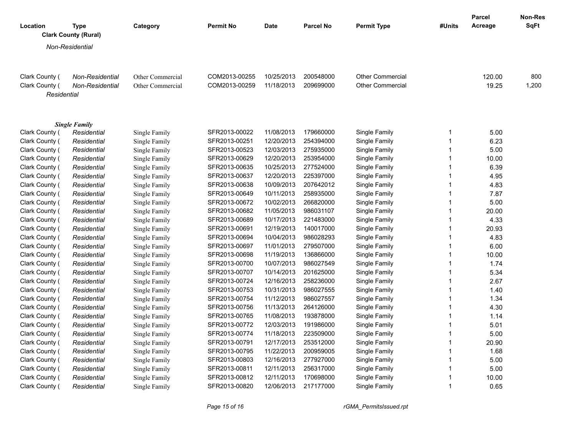| Location                      | Type<br><b>Clark County (Rural)</b> | Category         | <b>Permit No</b> | <b>Date</b> | <b>Parcel No</b> | <b>Permit Type</b>      | #Units         | Parcel<br>Acreage | <b>Non-Res</b><br>SqFt |
|-------------------------------|-------------------------------------|------------------|------------------|-------------|------------------|-------------------------|----------------|-------------------|------------------------|
|                               | Non-Residential                     |                  |                  |             |                  |                         |                |                   |                        |
|                               |                                     |                  |                  |             |                  |                         |                |                   |                        |
| Clark County (                | Non-Residential                     | Other Commercial | COM2013-00255    | 10/25/2013  | 200548000        | <b>Other Commercial</b> |                | 120.00            | 800                    |
| Clark County (<br>Residential | Non-Residential                     | Other Commercial | COM2013-00259    | 11/18/2013  | 209699000        | <b>Other Commercial</b> |                | 19.25             | 1,200                  |
|                               | <b>Single Family</b>                |                  |                  |             |                  |                         |                |                   |                        |
| Clark County (                | Residential                         | Single Family    | SFR2013-00022    | 11/08/2013  | 179660000        | Single Family           | $\mathbf 1$    | 5.00              |                        |
| Clark County (                | Residential                         | Single Family    | SFR2013-00251    | 12/20/2013  | 254394000        | Single Family           | $\mathbf{1}$   | 6.23              |                        |
| Clark County (                | Residential                         | Single Family    | SFR2013-00523    | 12/03/2013  | 275935000        | Single Family           | $\mathbf{1}$   | 5.00              |                        |
| Clark County (                | Residential                         | Single Family    | SFR2013-00629    | 12/20/2013  | 253954000        | Single Family           | $\mathbf{1}$   | 10.00             |                        |
| Clark County (                | Residential                         | Single Family    | SFR2013-00635    | 10/25/2013  | 277524000        | Single Family           | $\mathbf{1}$   | 6.39              |                        |
| Clark County (                | Residential                         | Single Family    | SFR2013-00637    | 12/20/2013  | 225397000        | Single Family           | $\mathbf{1}$   | 4.95              |                        |
| Clark County (                | Residential                         | Single Family    | SFR2013-00638    | 10/09/2013  | 207642012        | Single Family           | $\mathbf{1}$   | 4.83              |                        |
| Clark County (                | Residential                         | Single Family    | SFR2013-00649    | 10/11/2013  | 258935000        | Single Family           | $\mathbf{1}$   | 7.87              |                        |
| Clark County (                | Residential                         | Single Family    | SFR2013-00672    | 10/02/2013  | 266820000        | Single Family           | $\mathbf{1}$   | 5.00              |                        |
| Clark County (                | Residential                         | Single Family    | SFR2013-00682    | 11/05/2013  | 986031107        | Single Family           | $\mathbf{1}$   | 20.00             |                        |
| Clark County (                | Residential                         | Single Family    | SFR2013-00689    | 10/17/2013  | 221483000        | Single Family           | $\mathbf{1}$   | 4.33              |                        |
| Clark County (                | Residential                         | Single Family    | SFR2013-00691    | 12/19/2013  | 140017000        | Single Family           | $\mathbf{1}$   | 20.93             |                        |
| Clark County (                | Residential                         | Single Family    | SFR2013-00694    | 10/04/2013  | 986028293        | Single Family           | $\mathbf{1}$   | 4.83              |                        |
| Clark County (                | Residential                         | Single Family    | SFR2013-00697    | 11/01/2013  | 279507000        | Single Family           | $\mathbf{1}$   | 6.00              |                        |
| Clark County (                | Residential                         | Single Family    | SFR2013-00698    | 11/19/2013  | 136866000        | Single Family           | $\mathbf{1}$   | 10.00             |                        |
| Clark County (                | Residential                         | Single Family    | SFR2013-00700    | 10/07/2013  | 986027549        | Single Family           | $\mathbf{1}$   | 1.74              |                        |
| Clark County (                | Residential                         | Single Family    | SFR2013-00707    | 10/14/2013  | 201625000        | Single Family           | $\mathbf{1}$   | 5.34              |                        |
| Clark County (                | Residential                         | Single Family    | SFR2013-00724    | 12/16/2013  | 258236000        | Single Family           | $\mathbf{1}$   | 2.67              |                        |
| Clark County (                | Residential                         | Single Family    | SFR2013-00753    | 10/31/2013  | 986027555        | Single Family           | $\mathbf{1}$   | 1.40              |                        |
| Clark County (                | Residential                         | Single Family    | SFR2013-00754    | 11/12/2013  | 986027557        | Single Family           | $\mathbf{1}$   | 1.34              |                        |
| Clark County (                | Residential                         | Single Family    | SFR2013-00756    | 11/13/2013  | 264126000        | Single Family           | $\mathbf{1}$   | 4.30              |                        |
| Clark County (                | Residential                         | Single Family    | SFR2013-00765    | 11/08/2013  | 193878000        | Single Family           | $\mathbf{1}$   | 1.14              |                        |
| Clark County (                | Residential                         | Single Family    | SFR2013-00772    | 12/03/2013  | 191986000        | Single Family           | $\mathbf{1}$   | 5.01              |                        |
| Clark County (                | Residential                         | Single Family    | SFR2013-00774    | 11/18/2013  | 223509000        | Single Family           | $\mathbf{1}$   | 5.00              |                        |
| Clark County (                | Residential                         | Single Family    | SFR2013-00791    | 12/17/2013  | 253512000        | Single Family           | $\mathbf{1}$   | 20.90             |                        |
| Clark County (                | Residential                         | Single Family    | SFR2013-00795    | 11/22/2013  | 200959005        | Single Family           | $\mathbf{1}$   | 1.68              |                        |
| Clark County (                | Residential                         | Single Family    | SFR2013-00803    | 12/16/2013  | 277927000        | Single Family           | $\mathbf{1}$   | 5.00              |                        |
| Clark County (                | Residential                         | Single Family    | SFR2013-00811    | 12/11/2013  | 256317000        | Single Family           | $\mathbf{1}$   | 5.00              |                        |
| Clark County (                | Residential                         | Single Family    | SFR2013-00812    | 12/11/2013  | 170698000        | Single Family           | $\overline{1}$ | 10.00             |                        |
| Clark County (                | Residential                         | Single Family    | SFR2013-00820    | 12/06/2013  | 217177000        | Single Family           | $\mathbf{1}$   | 0.65              |                        |

*Page 15 of 16 rGMA\_PermitsIssued.rpt*